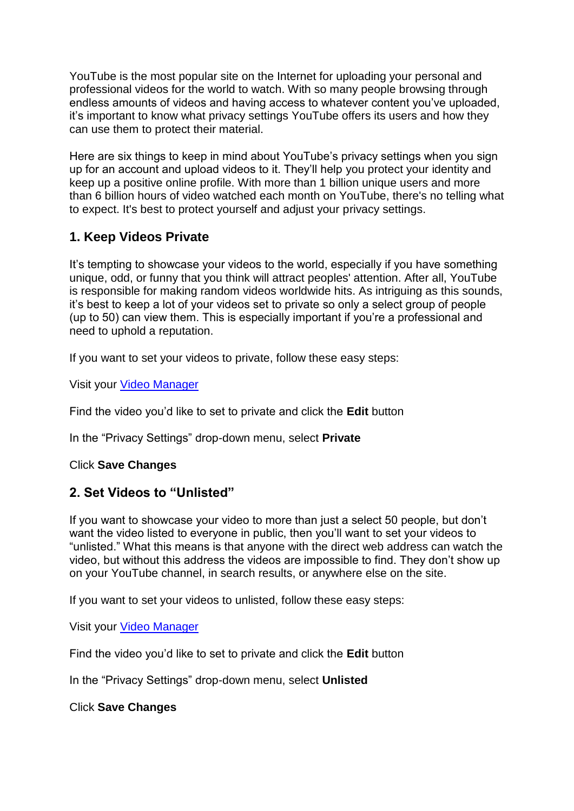YouTube is the most popular site on the Internet for uploading your personal and professional videos for the world to watch. With so many people browsing through endless amounts of videos and having access to whatever content you've uploaded, it's important to know what privacy settings YouTube offers its users and how they can use them to protect their material.

Here are six things to keep in mind about YouTube's privacy settings when you sign up for an account and upload videos to it. They'll help you protect your identity and keep up a positive online profile. With more than 1 billion unique users and more than 6 billion hours of video watched each month on YouTube, there's no telling what to expect. It's best to protect yourself and adjust your privacy settings.

# **1. Keep Videos Private**

It's tempting to showcase your videos to the world, especially if you have something unique, odd, or funny that you think will attract peoples' attention. After all, YouTube is responsible for making random videos worldwide hits. As intriguing as this sounds, it's best to keep a lot of your videos set to private so only a select group of people (up to 50) can view them. This is especially important if you're a professional and need to uphold a reputation.

If you want to set your videos to private, follow these easy steps:

Visit your [Video Manager](http://www.youtube.com/my_videos?o=U)

Find the video you'd like to set to private and click the **Edit** button

In the "Privacy Settings" drop-down menu, select **Private**

Click **Save Changes**

### **2. Set Videos to "Unlisted"**

If you want to showcase your video to more than just a select 50 people, but don't want the video listed to everyone in public, then you'll want to set your videos to "unlisted." What this means is that anyone with the direct web address can watch the video, but without this address the videos are impossible to find. They don't show up on your YouTube channel, in search results, or anywhere else on the site.

If you want to set your videos to unlisted, follow these easy steps:

Visit your [Video Manager](http://www.youtube.com/my_videos?o=U)

Find the video you'd like to set to private and click the **Edit** button

In the "Privacy Settings" drop-down menu, select **Unlisted**

Click **Save Changes**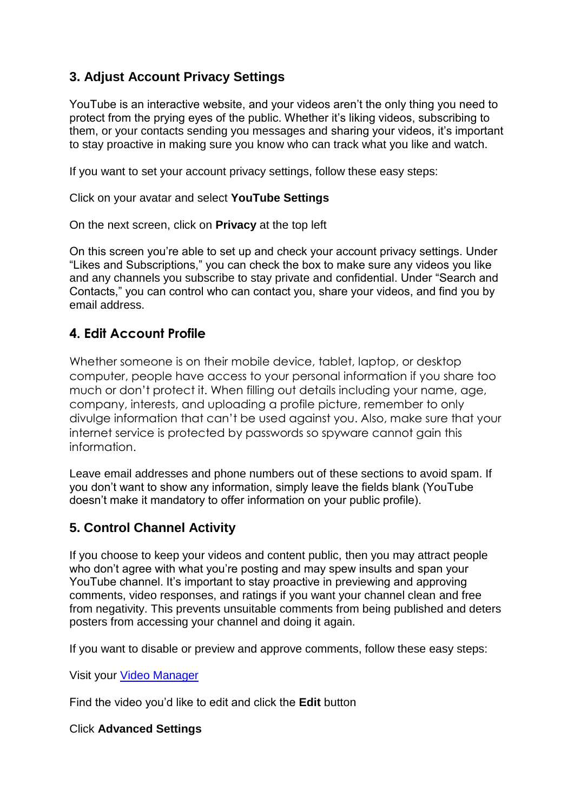# **3. Adjust Account Privacy Settings**

YouTube is an interactive website, and your videos aren't the only thing you need to protect from the prying eyes of the public. Whether it's liking videos, subscribing to them, or your contacts sending you messages and sharing your videos, it's important to stay proactive in making sure you know who can track what you like and watch.

If you want to set your account privacy settings, follow these easy steps:

Click on your avatar and select **YouTube Settings**

On the next screen, click on **Privacy** at the top left

On this screen you're able to set up and check your account privacy settings. Under "Likes and Subscriptions," you can check the box to make sure any videos you like and any channels you subscribe to stay private and confidential. Under "Search and Contacts," you can control who can contact you, share your videos, and find you by email address.

### **4. Edit Account Profile**

Whether someone is on their mobile device, tablet, laptop, or desktop computer, people have access to your personal information if you share too much or don't protect it. When filling out details including your name, age, company, interests, and uploading a profile picture, remember to only divulge information that can't be used against you. Also, make sure that your internet service is protected by passwords so spyware cannot gain this information.

Leave email addresses and phone numbers out of these sections to avoid spam. If you don't want to show any information, simply leave the fields blank (YouTube doesn't make it mandatory to offer information on your public profile).

# **5. Control Channel Activity**

If you choose to keep your videos and content public, then you may attract people who don't agree with what you're posting and may spew insults and span your YouTube channel. It's important to stay proactive in previewing and approving comments, video responses, and ratings if you want your channel clean and free from negativity. This prevents unsuitable comments from being published and deters posters from accessing your channel and doing it again.

If you want to disable or preview and approve comments, follow these easy steps:

Visit your [Video Manager](http://www.youtube.com/my_videos?o=U)

Find the video you'd like to edit and click the **Edit** button

#### Click **Advanced Settings**